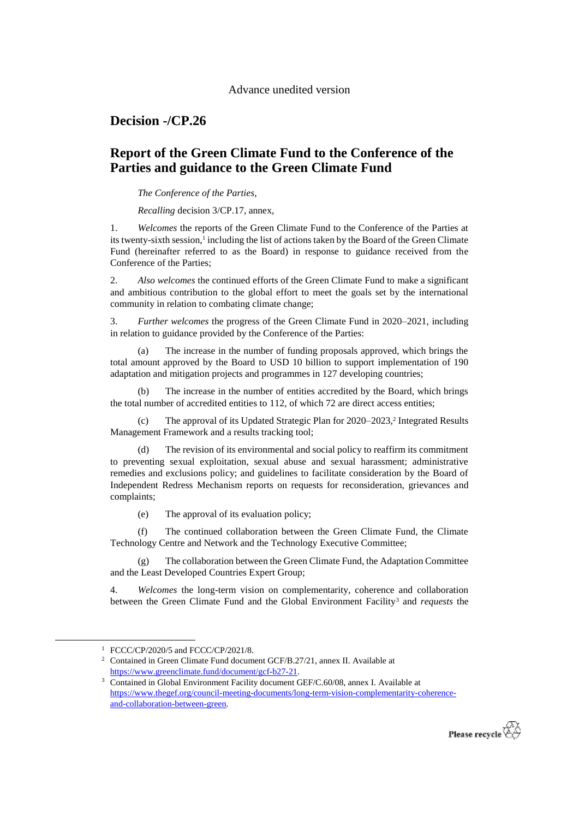## Advance unedited version

**Decision -/CP.26**

## **Report of the Green Climate Fund to the Conference of the Parties and guidance to the Green Climate Fund**

## *The Conference of the Parties*,

*Recalling* decision 3/CP.17, annex,

1. *Welcomes* the reports of the Green Climate Fund to the Conference of the Parties at its twenty-sixth session,<sup>1</sup> including the list of actions taken by the Board of the Green Climate Fund (hereinafter referred to as the Board) in response to guidance received from the Conference of the Parties;

2. *Also welcomes* the continued efforts of the Green Climate Fund to make a significant and ambitious contribution to the global effort to meet the goals set by the international community in relation to combating climate change;

3. *Further welcomes* the progress of the Green Climate Fund in 2020–2021, including in relation to guidance provided by the Conference of the Parties:

(a) The increase in the number of funding proposals approved, which brings the total amount approved by the Board to USD 10 billion to support implementation of 190 adaptation and mitigation projects and programmes in 127 developing countries;

The increase in the number of entities accredited by the Board, which brings the total number of accredited entities to 112, of which 72 are direct access entities;

(c) The approval of its Updated Strategic Plan for 2020–2023,<sup>2</sup> Integrated Results Management Framework and a results tracking tool;

(d) The revision of its environmental and social policy to reaffirm its commitment to preventing sexual exploitation, sexual abuse and sexual harassment; administrative remedies and exclusions policy; and guidelines to facilitate consideration by the Board of Independent Redress Mechanism reports on requests for reconsideration, grievances and complaints;

(e) The approval of its evaluation policy;

(f) The continued collaboration between the Green Climate Fund, the Climate Technology Centre and Network and the Technology Executive Committee;

(g) The collaboration between the Green Climate Fund, the Adaptation Committee and the Least Developed Countries Expert Group;

4. *Welcomes* the long-term vision on complementarity, coherence and collaboration between the Green Climate Fund and the Global Environment Facility<sup>3</sup> and *requests* the

-

<sup>3</sup> Contained in Global Environment Facility document GEF/C.60/08, annex I. Available at [https://www.thegef.org/council-meeting-documents/long-term-vision-complementarity-coherence](https://www.thegef.org/council-meeting-documents/long-term-vision-complementarity-coherence-and-collaboration-between-green)[and-collaboration-between-green.](https://www.thegef.org/council-meeting-documents/long-term-vision-complementarity-coherence-and-collaboration-between-green)



<sup>&</sup>lt;sup>1</sup> FCCC/CP/2020/5 and FCCC/CP/2021/8.

<sup>&</sup>lt;sup>2</sup> Contained in Green Climate Fund document GCF/B.27/21, annex II. Available at [https://www.greenclimate.fund/document/gcf-b27-21.](https://www.greenclimate.fund/document/gcf-b27-21)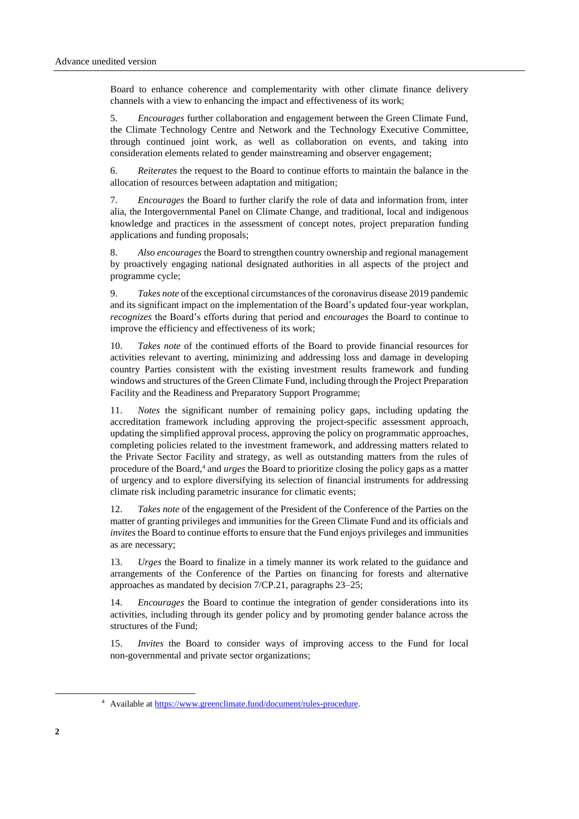Board to enhance coherence and complementarity with other climate finance delivery channels with a view to enhancing the impact and effectiveness of its work;

5. *Encourages* further collaboration and engagement between the Green Climate Fund, the Climate Technology Centre and Network and the Technology Executive Committee, through continued joint work, as well as collaboration on events, and taking into consideration elements related to gender mainstreaming and observer engagement;

6. *Reiterates* the request to the Board to continue efforts to maintain the balance in the allocation of resources between adaptation and mitigation;

7. *Encourages* the Board to further clarify the role of data and information from, inter alia, the Intergovernmental Panel on Climate Change, and traditional, local and indigenous knowledge and practices in the assessment of concept notes, project preparation funding applications and funding proposals;

8. *Also encourages* the Board to strengthen country ownership and regional management by proactively engaging national designated authorities in all aspects of the project and programme cycle;

9. *Takes note* of the exceptional circumstances of the coronavirus disease 2019 pandemic and its significant impact on the implementation of the Board's updated four-year workplan, *recognizes* the Board's efforts during that period and *encourages* the Board to continue to improve the efficiency and effectiveness of its work;

10. *Takes note* of the continued efforts of the Board to provide financial resources for activities relevant to averting, minimizing and addressing loss and damage in developing country Parties consistent with the existing investment results framework and funding windows and structures of the Green Climate Fund, including through the Project Preparation Facility and the Readiness and Preparatory Support Programme;

11. *Notes* the significant number of remaining policy gaps, including updating the accreditation framework including approving the project-specific assessment approach, updating the simplified approval process, approving the policy on programmatic approaches, completing policies related to the investment framework, and addressing matters related to the Private Sector Facility and strategy, as well as outstanding matters from the rules of procedure of the Board,<sup>4</sup> and *urges* the Board to prioritize closing the policy gaps as a matter of urgency and to explore diversifying its selection of financial instruments for addressing climate risk including parametric insurance for climatic events;

12. *Takes note* of the engagement of the President of the Conference of the Parties on the matter of granting privileges and immunities for the Green Climate Fund and its officials and *invites* the Board to continue efforts to ensure that the Fund enjoys privileges and immunities as are necessary;

13. *Urges* the Board to finalize in a timely manner its work related to the guidance and arrangements of the Conference of the Parties on financing for forests and alternative approaches as mandated by decision 7/CP.21, paragraphs 23–25;

14. *Encourages* the Board to continue the integration of gender considerations into its activities, including through its gender policy and by promoting gender balance across the structures of the Fund;

15. *Invites* the Board to consider ways of improving access to the Fund for local non-governmental and private sector organizations;

1

<sup>4</sup> Available at [https://www.greenclimate.fund/document/rules-procedure.](https://www.greenclimate.fund/document/rules-procedure)